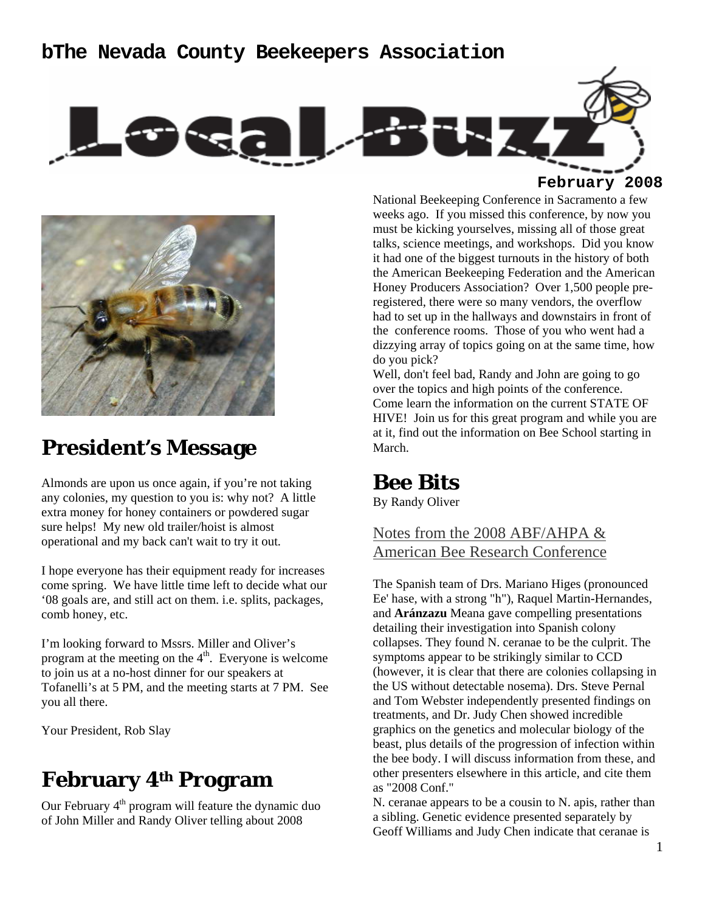### **bThe Nevada County Beekeepers Association**



**February 2008**



# **President's Message**

Almonds are upon us once again, if you're not taking any colonies, my question to you is: why not? A little extra money for honey containers or powdered sugar sure helps! My new old trailer/hoist is almost operational and my back can't wait to try it out.

I hope everyone has their equipment ready for increases come spring. We have little time left to decide what our '08 goals are, and still act on them. i.e. splits, packages, comb honey, etc.

I'm looking forward to Mssrs. Miller and Oliver's program at the meeting on the  $4<sup>th</sup>$ . Everyone is welcome to join us at a no-host dinner for our speakers at Tofanelli's at 5 PM, and the meeting starts at 7 PM. See you all there.

Your President, Rob Slay

# **February 4th Program**

Our February  $4<sup>th</sup>$  program will feature the dynamic duo of John Miller and Randy Oliver telling about 2008

National Beekeeping Conference in Sacramento a few weeks ago. If you missed this conference, by now you must be kicking yourselves, missing all of those great talks, science meetings, and workshops. Did you know it had one of the biggest turnouts in the history of both the American Beekeeping Federation and the American Honey Producers Association? Over 1,500 people preregistered, there were so many vendors, the overflow had to set up in the hallways and downstairs in front of the conference rooms. Those of you who went had a dizzying array of topics going on at the same time, how do you pick?

Well, don't feel bad, Randy and John are going to go over the topics and high points of the conference. Come learn the information on the current STATE OF HIVE! Join us for this great program and while you are at it, find out the information on Bee School starting in March.

## **Bee Bits**

By Randy Oliver

Notes from the 2008 ABF/AHPA & American Bee Research Conference

The Spanish team of Drs. Mariano Higes (pronounced Ee' hase, with a strong "h"), Raquel Martin-Hernandes, and **Aránzazu** Meana gave compelling presentations detailing their investigation into Spanish colony collapses. They found N. ceranae to be the culprit. The symptoms appear to be strikingly similar to CCD (however, it is clear that there are colonies collapsing in the US without detectable nosema). Drs. Steve Pernal and Tom Webster independently presented findings on treatments, and Dr. Judy Chen showed incredible graphics on the genetics and molecular biology of the beast, plus details of the progression of infection within the bee body. I will discuss information from these, and other presenters elsewhere in this article, and cite them as "2008 Conf."

N. ceranae appears to be a cousin to N. apis, rather than a sibling. Genetic evidence presented separately by Geoff Williams and Judy Chen indicate that ceranae is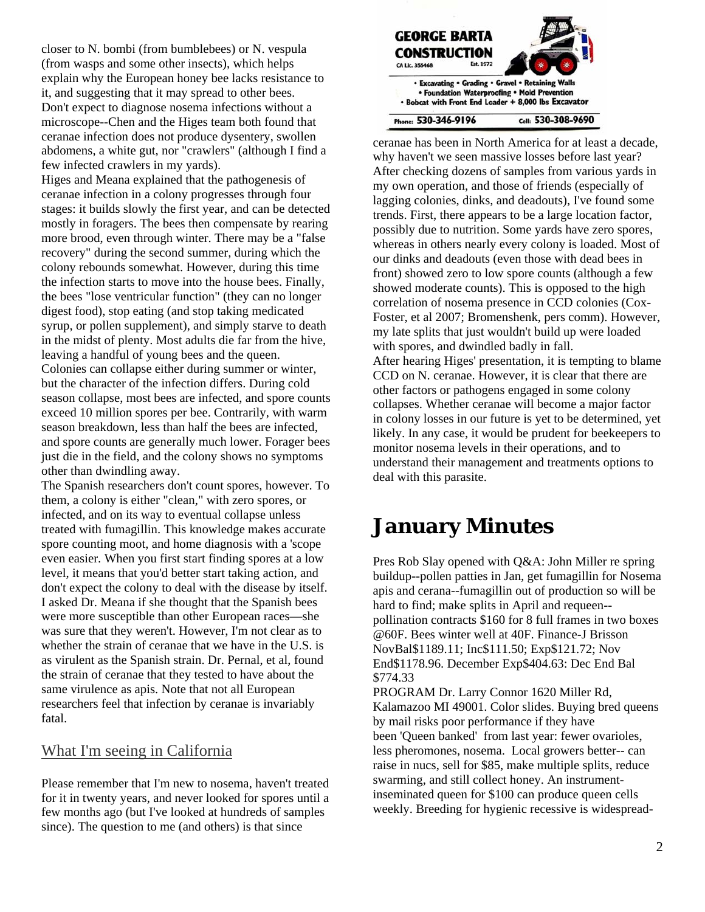closer to N. bombi (from bumblebees) or N. vespula (from wasps and some other insects), which helps explain why the European honey bee lacks resistance to it, and suggesting that it may spread to other bees. Don't expect to diagnose nosema infections without a microscope--Chen and the Higes team both found that ceranae infection does not produce dysentery, swollen abdomens, a white gut, nor "crawlers" (although I find a few infected crawlers in my yards).

Higes and Meana explained that the pathogenesis of ceranae infection in a colony progresses through four stages: it builds slowly the first year, and can be detected mostly in foragers. The bees then compensate by rearing more brood, even through winter. There may be a "false recovery" during the second summer, during which the colony rebounds somewhat. However, during this time the infection starts to move into the house bees. Finally, the bees "lose ventricular function" (they can no longer digest food), stop eating (and stop taking medicated syrup, or pollen supplement), and simply starve to death in the midst of plenty. Most adults die far from the hive, leaving a handful of young bees and the queen. Colonies can collapse either during summer or winter, but the character of the infection differs. During cold season collapse, most bees are infected, and spore counts exceed 10 million spores per bee. Contrarily, with warm season breakdown, less than half the bees are infected, and spore counts are generally much lower. Forager bees just die in the field, and the colony shows no symptoms other than dwindling away.

The Spanish researchers don't count spores, however. To them, a colony is either "clean," with zero spores, or infected, and on its way to eventual collapse unless treated with fumagillin. This knowledge makes accurate spore counting moot, and home diagnosis with a 'scope even easier. When you first start finding spores at a low level, it means that you'd better start taking action, and don't expect the colony to deal with the disease by itself. I asked Dr. Meana if she thought that the Spanish bees were more susceptible than other European races—she was sure that they weren't. However, I'm not clear as to whether the strain of ceranae that we have in the U.S. is as virulent as the Spanish strain. Dr. Pernal, et al, found the strain of ceranae that they tested to have about the same virulence as apis. Note that not all European researchers feel that infection by ceranae is invariably fatal.

### What I'm seeing in California

Please remember that I'm new to nosema, haven't treated for it in twenty years, and never looked for spores until a few months ago (but I've looked at hundreds of samples since). The question to me (and others) is that since



ceranae has been in North America for at least a decade, why haven't we seen massive losses before last year? After checking dozens of samples from various yards in my own operation, and those of friends (especially of lagging colonies, dinks, and deadouts), I've found some trends. First, there appears to be a large location factor, possibly due to nutrition. Some yards have zero spores, whereas in others nearly every colony is loaded. Most of our dinks and deadouts (even those with dead bees in front) showed zero to low spore counts (although a few showed moderate counts). This is opposed to the high correlation of nosema presence in CCD colonies (Cox-Foster, et al 2007; Bromenshenk, pers comm). However, my late splits that just wouldn't build up were loaded with spores, and dwindled badly in fall. After hearing Higes' presentation, it is tempting to blame

CCD on N. ceranae. However, it is clear that there are other factors or pathogens engaged in some colony collapses. Whether ceranae will become a major factor in colony losses in our future is yet to be determined, yet likely. In any case, it would be prudent for beekeepers to monitor nosema levels in their operations, and to understand their management and treatments options to deal with this parasite.

# **January Minutes**

Pres Rob Slay opened with Q&A: John Miller re spring buildup--pollen patties in Jan, get fumagillin for Nosema apis and cerana--fumagillin out of production so will be hard to find; make splits in April and requeen- pollination contracts \$160 for 8 full frames in two boxes @60F. Bees winter well at 40F. Finance-J Brisson NovBal\$1189.11; Inc\$111.50; Exp\$121.72; Nov End\$1178.96. December Exp\$404.63: Dec End Bal \$774.33

PROGRAM Dr. Larry Connor 1620 Miller Rd, Kalamazoo MI 49001. Color slides. Buying bred queens by mail risks poor performance if they have been 'Queen banked' from last year: fewer ovarioles, less pheromones, nosema. Local growers better-- can raise in nucs, sell for \$85, make multiple splits, reduce swarming, and still collect honey. An instrumentinseminated queen for \$100 can produce queen cells weekly. Breeding for hygienic recessive is widespread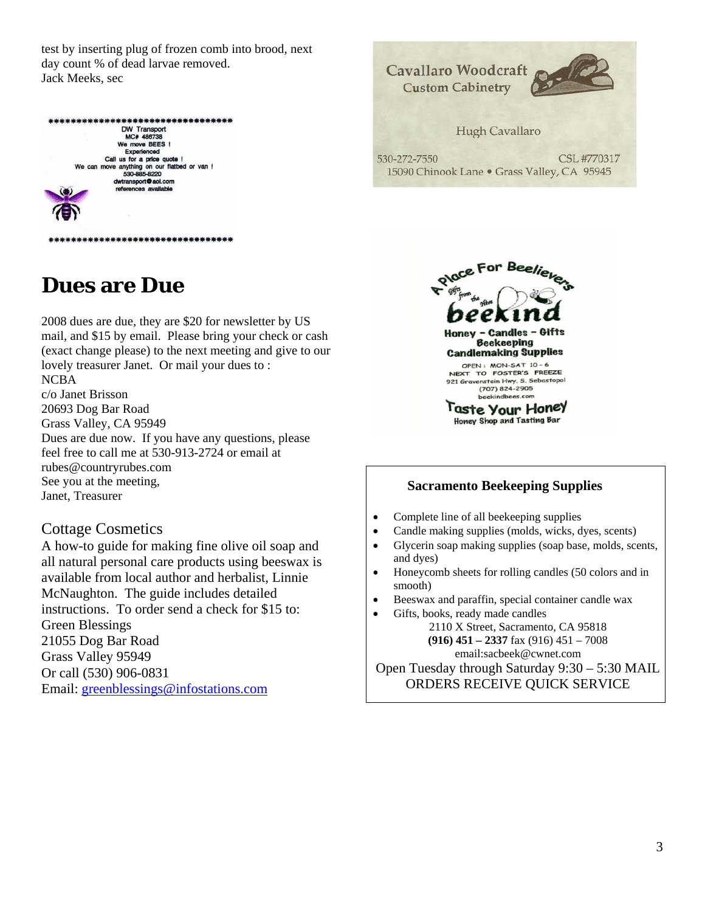test by inserting plug of frozen comb into brood, next day count % of dead larvae removed. Jack Meeks, sec





**Dues are Due** 

2008 dues are due, they are \$20 for newsletter by US mail, and \$15 by email. Please bring your check or cash (exact change please) to the next meeting and give to our lovely treasurer Janet. Or mail your dues to : NCBA c/o Janet Brisson 20693 Dog Bar Road Grass Valley, CA 95949

Dues are due now. If you have any questions, please feel free to call me at 530-913-2724 or email at rubes@countryrubes.com See you at the meeting, Janet, Treasurer

#### Cottage Cosmetics

A how-to guide for making fine olive oil soap and all natural personal care products using beeswax is available from local author and herbalist, Linnie McNaughton. The guide includes detailed instructions. To order send a check for \$15 to: Green Blessings 21055 Dog Bar Road Grass Valley 95949 Or call (530) 906-0831 Email: greenblessings@infostations.com



#### **Sacramento Beekeeping Supplies**

- Complete line of all beekeeping supplies
- Candle making supplies (molds, wicks, dyes, scents)
- Glycerin soap making supplies (soap base, molds, scents, and dyes)
- Honeycomb sheets for rolling candles (50 colors and in smooth)
- Beeswax and paraffin, special container candle wax
- Gifts, books, ready made candles 2110 X Street, Sacramento, CA 95818 **(916) 451 – 2337** fax (916) 451 – 7008 email:sacbeek@cwnet.com

Open Tuesday through Saturday 9:30 – 5:30 MAIL ORDERS RECEIVE QUICK SERVICE